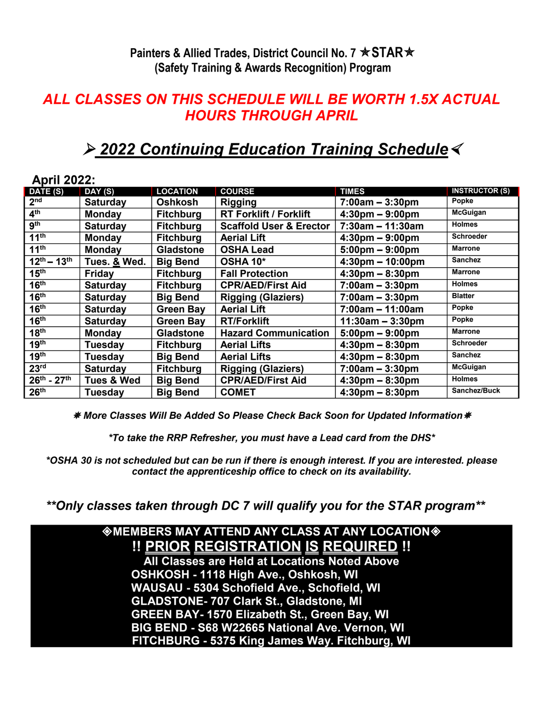**Painters & Allied Trades, District Council No. 7**  $\star$  **STAR** $\star$ **(Safety Training & Awards Recognition) Program**

## *ALL CLASSES ON THIS SCHEDULE WILL BE WORTH 1.5X ACTUAL HOURS THROUGH APRIL*

## *2022 Continuing Education Training Schedule*

| <b>April 2022:</b>    |                       |                  |                                    |                                    |                       |
|-----------------------|-----------------------|------------------|------------------------------------|------------------------------------|-----------------------|
| DATE (S)              | DAY (S)               | <b>LOCATION</b>  | <b>COURSE</b>                      | <b>TIMES</b>                       | <b>INSTRUCTOR (S)</b> |
| 2 <sub>nd</sub>       | <b>Saturday</b>       | Oshkosh          | <b>Rigging</b>                     | $7:00am - 3:30pm$                  | Popke                 |
| $\overline{4^{th}}$   | <b>Monday</b>         | <b>Fitchburg</b> | <b>RT Forklift / Forklift</b>      | $4:30 \text{pm} - 9:00 \text{pm}$  | <b>McGuigan</b>       |
| 9 <sup>th</sup>       | <b>Saturday</b>       | <b>Fitchburg</b> | <b>Scaffold User &amp; Erector</b> | $7:30am - 11:30am$                 | <b>Holmes</b>         |
| 11 <sup>th</sup>      | <b>Monday</b>         | <b>Fitchburg</b> | <b>Aerial Lift</b>                 | $4:30 \text{pm} - 9:00 \text{pm}$  | <b>Schroeder</b>      |
| 11 <sup>th</sup>      | <b>Monday</b>         | <b>Gladstone</b> | <b>OSHA Lead</b>                   | $5:00 \text{pm} - 9:00 \text{pm}$  | <b>Marrone</b>        |
| $12^{th} - 13^{th}$   | Tues. & Wed.          | <b>Big Bend</b>  | OSHA 10*                           | $4:30 \text{pm} - 10:00 \text{pm}$ | <b>Sanchez</b>        |
| 15 <sup>th</sup>      | Friday                | <b>Fitchburg</b> | <b>Fall Protection</b>             | $4:30 \text{pm} - 8:30 \text{pm}$  | <b>Marrone</b>        |
| 16 <sup>th</sup>      | <b>Saturday</b>       | <b>Fitchburg</b> | <b>CPR/AED/First Aid</b>           | $7:00am - 3:30pm$                  | <b>Holmes</b>         |
| 16 <sup>th</sup>      | <b>Saturday</b>       | <b>Big Bend</b>  | <b>Rigging (Glaziers)</b>          | $7:00am - 3:30pm$                  | <b>Blatter</b>        |
| 16 <sup>th</sup>      | <b>Saturday</b>       | <b>Green Bay</b> | <b>Aerial Lift</b>                 | $7:00am - 11:00am$                 | Popke                 |
| 16 <sup>th</sup>      | <b>Saturday</b>       | <b>Green Bay</b> | <b>RT/Forklift</b>                 | $11:30am - 3:30pm$                 | Popke                 |
| 18 <sup>th</sup>      | <b>Monday</b>         | <b>Gladstone</b> | <b>Hazard Communication</b>        | $5:00 \text{pm} - 9:00 \text{pm}$  | <b>Marrone</b>        |
| 19 <sup>th</sup>      | Tuesday               | <b>Fitchburg</b> | <b>Aerial Lifts</b>                | $4:30 \text{pm} - 8:30 \text{pm}$  | <b>Schroeder</b>      |
| 19 <sup>th</sup>      | Tuesday               | <b>Big Bend</b>  | <b>Aerial Lifts</b>                | $4:30 \text{pm} - 8:30 \text{pm}$  | <b>Sanchez</b>        |
| 23 <sup>rd</sup>      | <b>Saturday</b>       | <b>Fitchburg</b> | <b>Rigging (Glaziers)</b>          | $7:00am - 3:30pm$                  | <b>McGuigan</b>       |
| $26^{th}$ - $27^{th}$ | <b>Tues &amp; Wed</b> | <b>Big Bend</b>  | <b>CPR/AED/First Aid</b>           | $4:30 \text{pm} - 8:30 \text{pm}$  | <b>Holmes</b>         |
| 26 <sup>th</sup>      | Tuesdav               | <b>Big Bend</b>  | <b>COMET</b>                       | $4:30 \text{pm} - 8:30 \text{pm}$  | Sanchez/Buck          |

*More Classes Will Be Added So Please Check Back Soon for Updated Information*

*\*To take the RRP Refresher, you must have a Lead card from the DHS\**

*\*OSHA 30 is not scheduled but can be run if there is enough interest. If you are interested. please contact the apprenticeship office to check on its availability.* 

 *\*\*Only classes taken through DC 7 will qualify you for the STAR program\*\**

## **MEMBERS MAY ATTEND ANY CLASS AT ANY LOCATION !! PRIOR REGISTRATION IS REQUIRED !!**

**All Classes are Held at Locations Noted Above OSHKOSH - 1118 High Ave., Oshkosh, WI WAUSAU - 5304 Schofield Ave., Schofield, WI GLADSTONE- 707 Clark St., Gladstone, MI GREEN BAY- 1570 Elizabeth St., Green Bay, WI BIG BEND - S68 W22665 National Ave. Vernon, WI FITCHBURG - 5375 King James Way. Fitchburg, WI**